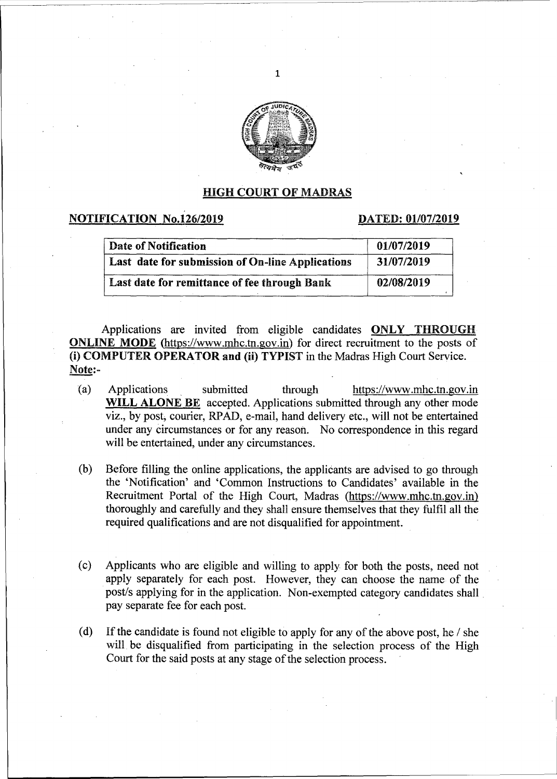

1

### HIGH COURT OF MADRAS

# NOTIFICATION No.126/2019 DATED: 01/07/2019

| Date of Notification                             | 01/07/2019 |
|--------------------------------------------------|------------|
| Last date for submission of On-line Applications | 31/07/2019 |
| Last date for remittance of fee through Bank     | 02/08/2019 |

Applications are invited from eligible candidates ONLY THROUGH ONLINE MODE (https://www.mhc.tn.gov.in) for direct recruitment to the posts of (i) COMPUTER OPERATOR and (ii) TYPIST in the Madras High Court Service. Note:-

- (a) Applications submitted through https://www.mhc.tn.gov.in WILL ALONE BE accepted. Applications submitted through any other mode viz., by post, courier, RP AD, e-mail, hand delivery etc., will not be entertained under any circumstances or for any reason. No correspondence in this regard will be entertained, under any circumstances.
- (b) Before filling the online applications, the applicants are advised to go through the 'Notification' and 'Common Instructions to Candidates' available in the Recruitment Portal of the High Court, Madras (https://www.mhc.tn.gov.in) thoroughly and carefully and they shall ensure themselves that they fulfil all the required qualifications and are not disqualified for appointment.
- ( c) Applicants who are eligible and willing to apply for both the posts, need not apply separately for each post. However, they can choose the name of the post/s applying for in the application. Non-exempted category candidates shall . pay separate fee for each post.
- (d) If the candidate is found not eligible to apply for any of the above post, he  $\ell$  she will. be disqualified from participating in the selection process of the High Court for the said posts at any stage of the selection process.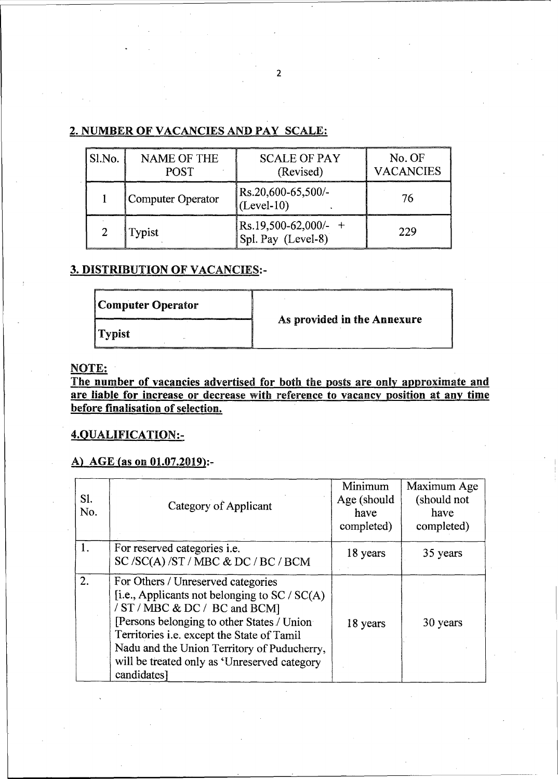# 2. NUMBER OF VACANCIES AND PAY SCALE:

| Sl.No. | <b>NAME OF THE</b><br><b>POST</b> | <b>SCALE OF PAY</b><br>(Revised)                    | No. OF<br><b>VACANCIES</b> |
|--------|-----------------------------------|-----------------------------------------------------|----------------------------|
|        | Computer Operator                 | Rs.20,600-65,500/-<br>$(\text{Level-10})$           | 76                         |
|        | Typist                            | $\text{Rs.19,500-62,000/-}$ +<br>Spl. Pay (Level-8) | 229                        |

# 3. DISTRIBUTION OF VACANCIES:-

| Computer Operator |                             |
|-------------------|-----------------------------|
| Typist            | As provided in the Annexure |

# NOTE:

The number of vacancies advertised for both the posts are only approximate and are liable for increase or decrease with reference to vacancy position at any time before finalisation of selection.

# 4.QUALIFICATION:-

# A) AGE (as on  $01.07.2019$ ):-

| Sl.<br>No. | Category of Applicant                                                                                                                                                                                                                                                                                                              | Minimum<br>Age (should<br>have<br>completed) | Maximum Age<br>(should not<br>have<br>completed) |
|------------|------------------------------------------------------------------------------------------------------------------------------------------------------------------------------------------------------------------------------------------------------------------------------------------------------------------------------------|----------------------------------------------|--------------------------------------------------|
| 1.         | For reserved categories <i>i.e.</i><br>SC /SC(A) /ST / MBC & DC / BC / BCM                                                                                                                                                                                                                                                         | 18 years                                     | 35 years                                         |
| 2.         | For Others / Unreserved categories<br>[i.e., Applicants not belonging to $SC / SC(A)$ ]<br>/ ST / MBC & DC / BC and BCM]<br>[Persons belonging to other States / Union<br>Territories i.e. except the State of Tamil<br>Nadu and the Union Territory of Puducherry,<br>will be treated only as 'Unreserved category<br>candidates] | 18 years                                     | 30 years                                         |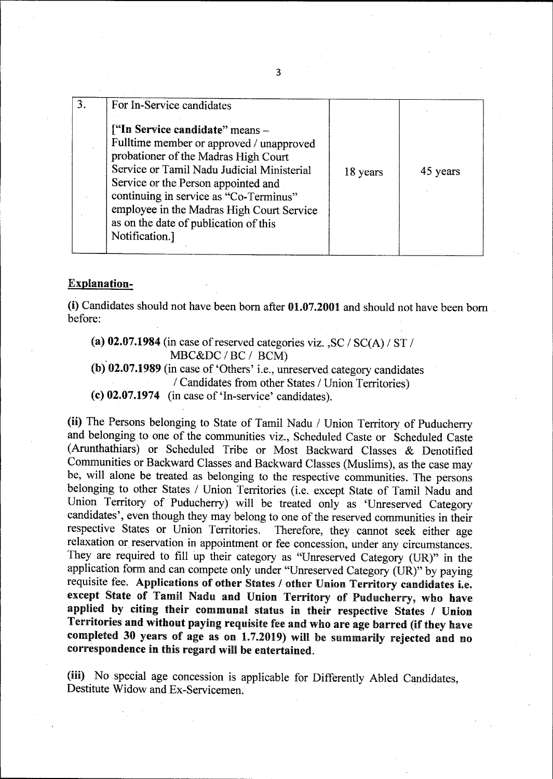| 3. | For In-Service candidates                                                                                                                                                                                                                                                                                                                                  |          |          |
|----|------------------------------------------------------------------------------------------------------------------------------------------------------------------------------------------------------------------------------------------------------------------------------------------------------------------------------------------------------------|----------|----------|
|    | ["In Service candidate" means -<br>Fulltime member or approved / unapproved<br>probationer of the Madras High Court<br>Service or Tamil Nadu Judicial Ministerial<br>Service or the Person appointed and<br>continuing in service as "Co-Terminus"<br>employee in the Madras High Court Service<br>as on the date of publication of this<br>Notification.] | 18 years | 45 years |

#### Explanation-

(i) Candidates should not have been born after 01.07.2001 and should not have been born before:

(a) 02.07.1984 (in case of reserved categories viz.,  $SC / SC(A) / ST /$ MBC&DC / BC / BCM)

(b). 02.07.1989 (in case of 'Others' i.e., unreserved category candidates / Candidates from other States / Union Territories)

(c) 02.07.1974 (in case of 'In-service' candidates).

(ii) The Persons belonging to State of Tamil Nadu / Union Territory of Puducherry and belonging to one of the communities viz., Scheduled Caste or Scheduled Caste (Arunthathiars) or Scheduled Tribe or Most Backward Classes & Denotified Communities or Backward Classes and Backward Classes (Muslims), as the case may be, will alone be treated as belonging to the respective communities. The persons belonging to other States / Union Territories (i.e. except State of Tamil Nadu and Union Territory of Puducherry) will be treated only as 'Unreserved Category candidates', even though they may belong to one of the reserved communities in their respective States or Union Territories. Therefore, they cannot seek either age Therefore, they cannot seek either age relaxation or reservation in appointment or fee concession, under any circumstances. They are required to fill up their category as "Unreserved Category (UR)" in the application form and can compete only under "Unreserved Category (UR)" by paying requisite fee. Applications of other States / other Union Territory candidates i.e. except State of Tamil Nadu and Union Territory of Puducherry, who have applied by citing their communal status in their respective States / Union Territories and without paying requisite fee and who are age barred (if they have completed 30 years of age as on  $1.7.2019$ ) will be summarily rejected and no correspondence in this regard will be entertained.

(iii) No special age concession is applicable for Differently Abled Candidates, Destitute Widow and Ex-Servicemen.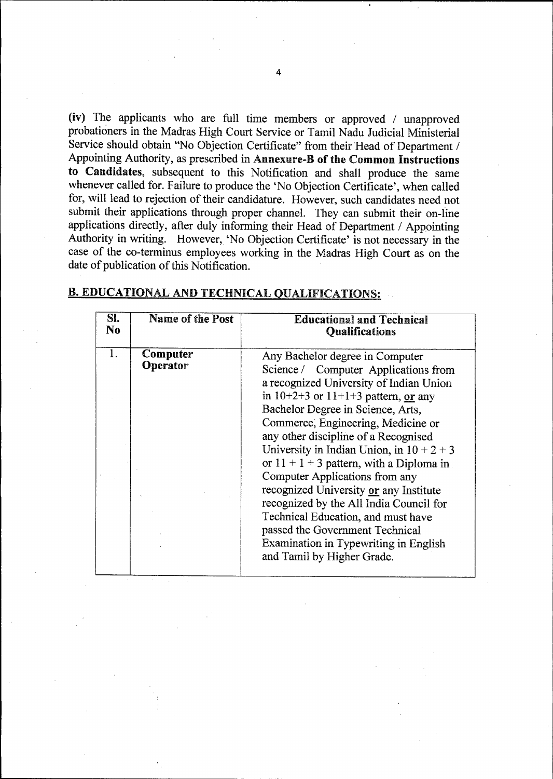(iv) The applicants who are full time members or approved  $\ell$  unapproved probationers in the Madras High Court Service or Tamil Nadu Judicial Ministerial Service should obtain "No Objection Certificate" from their Head of Department / Appointing Authority, as prescribed in Annexure-B of the Common Instructions to Candidates, subsequent to this Notification and shall produce the same whenever called for. Failure to produce the 'No Objection Certificate', when called for, will lead to rejection of their candidature. However, such candidates need not submit their applications through proper channel. They can submit their on-line applications directly, after duly informing their Head of Department / Appointing Authority in writing. However, 'No Objection Certificate' is not necessary in the case of the co-terminus employees working in the Madras High Court as on the date of publication of this Notification.

| SI.<br>No | Name of the Post     | <b>Educational and Technical</b><br><b>Qualifications</b>                                                                                                                                                                                                                                                                                                                                                                                                                                                                                                                                                                                            |
|-----------|----------------------|------------------------------------------------------------------------------------------------------------------------------------------------------------------------------------------------------------------------------------------------------------------------------------------------------------------------------------------------------------------------------------------------------------------------------------------------------------------------------------------------------------------------------------------------------------------------------------------------------------------------------------------------------|
|           | Computer<br>Operator | Any Bachelor degree in Computer<br>Science / Computer Applications from<br>a recognized University of Indian Union<br>in $10+2+3$ or $11+1+3$ pattern, or any<br>Bachelor Degree in Science, Arts,<br>Commerce, Engineering, Medicine or<br>any other discipline of a Recognised<br>University in Indian Union, in $10 + 2 + 3$<br>or $11 + 1 + 3$ pattern, with a Diploma in<br>Computer Applications from any<br>recognized University or any Institute<br>recognized by the All India Council for<br>Technical Education, and must have<br>passed the Government Technical<br>Examination in Typewriting in English<br>and Tamil by Higher Grade. |

# B. EDUCATIONAL AND TECHNICAL QUALIFICATIONS: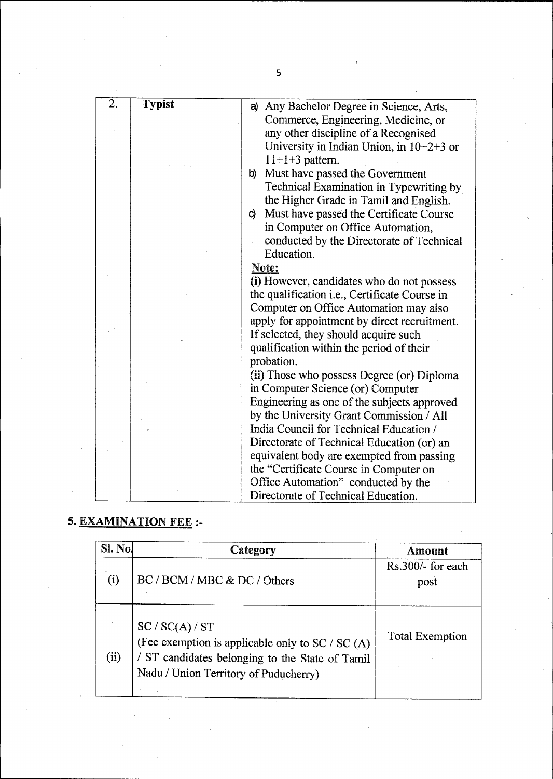| $\overline{2.}$ | <b>Typist</b> |                                               |
|-----------------|---------------|-----------------------------------------------|
|                 |               | a) Any Bachelor Degree in Science, Arts,      |
|                 |               | Commerce, Engineering, Medicine, or           |
|                 |               | any other discipline of a Recognised          |
|                 |               | University in Indian Union, in $10+2+3$ or    |
|                 |               | $11+1+3$ pattern.                             |
|                 |               | b) Must have passed the Government            |
|                 |               | Technical Examination in Typewriting by       |
|                 |               | the Higher Grade in Tamil and English.        |
|                 |               | c) Must have passed the Certificate Course    |
|                 |               | in Computer on Office Automation,             |
|                 |               | conducted by the Directorate of Technical     |
|                 |               | Education.                                    |
|                 |               | Note:                                         |
|                 |               | (i) However, candidates who do not possess    |
|                 |               | the qualification i.e., Certificate Course in |
|                 |               | Computer on Office Automation may also        |
|                 |               |                                               |
|                 |               | apply for appointment by direct recruitment.  |
|                 |               | If selected, they should acquire such         |
|                 |               | qualification within the period of their      |
|                 |               | probation.                                    |
|                 |               | (ii) Those who possess Degree (or) Diploma    |
|                 |               | in Computer Science (or) Computer             |
|                 |               | Engineering as one of the subjects approved   |
|                 |               | by the University Grant Commission / All      |
|                 |               | India Council for Technical Education /       |
|                 |               | Directorate of Technical Education (or) an    |
|                 |               | equivalent body are exempted from passing     |
|                 |               | the "Certificate Course in Computer on        |
|                 |               | Office Automation" conducted by the           |
|                 |               | Directorate of Technical Education.           |
|                 |               |                                               |

# 5. EXAMINATION FEE:-

| Sl. No. | Category                                                                                                                                                        | Amount                      |
|---------|-----------------------------------------------------------------------------------------------------------------------------------------------------------------|-----------------------------|
| (i)     | BC / BCM / MBC & DC / Others                                                                                                                                    | $Rs.300/-$ for each<br>post |
| (ii)    | SC / SC(A) / ST<br>(Fee exemption is applicable only to SC / SC (A)<br>/ ST candidates belonging to the State of Tamil<br>Nadu / Union Territory of Puducherry) | <b>Total Exemption</b>      |

5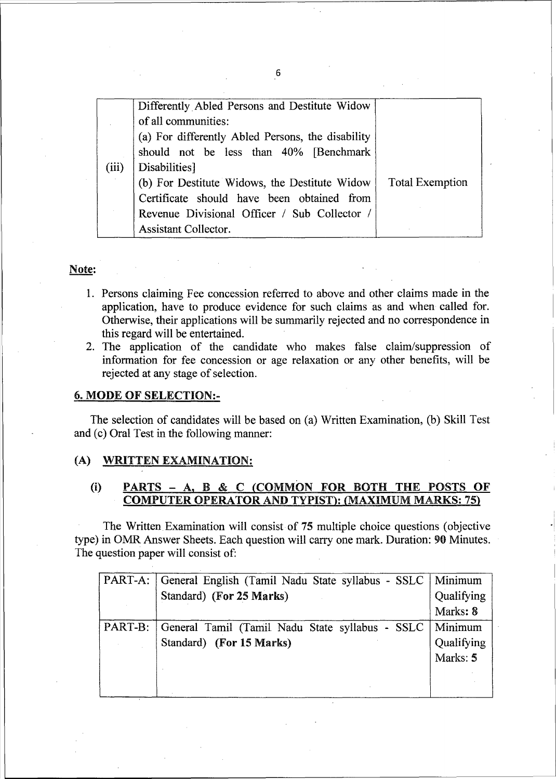| (iii) | Differently Abled Persons and Destitute Widow<br>of all communities:<br>(a) For differently Abled Persons, the disability<br>should not be less than 40% [Benchmark]<br>Disabilities]<br>(b) For Destitute Widows, the Destitute Widow<br>Certificate should have been obtained from | <b>Total Exemption</b> |
|-------|--------------------------------------------------------------------------------------------------------------------------------------------------------------------------------------------------------------------------------------------------------------------------------------|------------------------|
|       | Revenue Divisional Officer / Sub Collector /                                                                                                                                                                                                                                         |                        |
|       | Assistant Collector.                                                                                                                                                                                                                                                                 |                        |

#### Note:

- 1. Persons claiming Fee concession referred to above and other claims made in the application, have to produce evidence for such claims as and when called for. Otherwise, their applications will be summarily rejected and no correspondence in this regard will be entertained.
- 2. The application of the candidate who makes false claim/suppression of information for fee concession or age relaxation or any other benefits, will be rejected at any stage of selection.

#### 6. MODE OF SELECTION:-

The selection of candidates will be based on (a) Written Examination, (b) Skill Test and (c) Oral Test in the following manner:

#### (A) WRITTEN EXAMINATION:

### (i) PARTS - A, B & C (COMMON FOR BOTH THE POSTS OF COMPUTER OPERATOR AND TYPIST): (MAXIMUM MARKS: 75)

.1

The Written Examination will consist of 75 multiple choice questions (objective type) in OMR Answer Sheets. Each question will carry one mark. Duration: 90 Minutes. The question paper will consist of:

| PART-A: | General English (Tamil Nadu State syllabus - SSLC | Minimum    |
|---------|---------------------------------------------------|------------|
|         | Standard) (For 25 Marks)                          | Qualifying |
|         |                                                   | Marks: 8   |
| PART-B: | General Tamil (Tamil Nadu State syllabus - SSLC   | Minimum    |
|         | Standard) (For 15 Marks)                          | Qualifying |
|         |                                                   | Marks: 5   |
|         |                                                   |            |
|         |                                                   |            |

6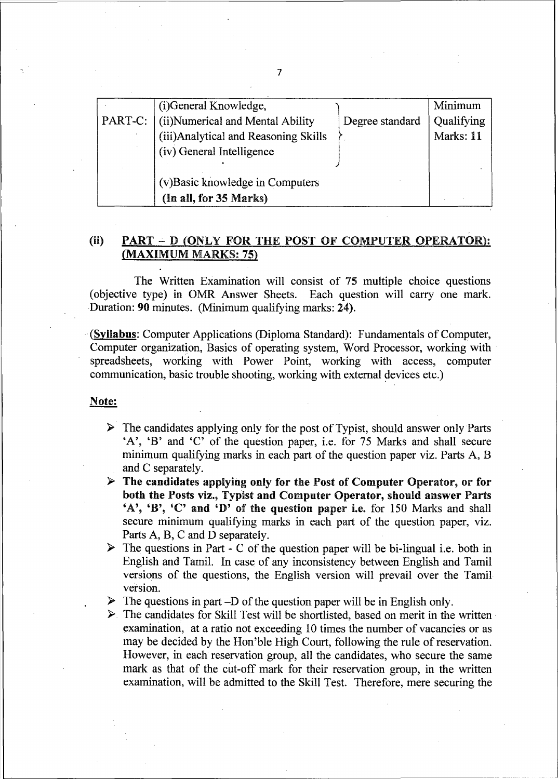|         | (i)General Knowledge,                 |                 | Minimum    |
|---------|---------------------------------------|-----------------|------------|
| PART-C: | (ii) Numerical and Mental Ability     | Degree standard | Qualifying |
|         | (iii) Analytical and Reasoning Skills |                 | Marks: 11  |
|         | (iv) General Intelligence             |                 |            |
|         |                                       |                 |            |
|         | (v) Basic knowledge in Computers      |                 |            |
|         | (In all, for 35 Marks)                |                 |            |

# (ii) PART  $\div$  D (ONLY FOR THE POST OF COMPUTER OPERATOR): (MAXIMUM MARKS: 75)

The Written Examination will consist of 75 multiple choice questions e type) in OMR Answer Sheets. Each question will carry one mark. (objective type) in OMR Answer Sheets. Duration: 90 minutes. (Minimum qualifying marks: 24).

-(Syllabus: Computer Applications (Diploma Standard): Fundamentals of Computer, Computer organization, Basics of operating system, Word Processor, working with spreadsheets, working with Power Point, working with access, computer communication, basic trouble shooting, working with external devices etc.)

### Note:

- $\triangleright$  The candidates applying only for the post of Typist, should answer only Parts 'A', 'B' and 'C' of the question paper, i.e. for 75 Marks and shall secure minimum qualifying marks in each part of the question paper viz. Parts A, B and C separately.
- $\triangleright$  The candidates applying only for the Post of Computer Operator, or for both the Posts viz., Typist and Computer Operator, should answer Parts 'A', 'B', 'C' and 'D' of the question paper i.e. for 150 Marks and shall secure minimum qualifying marks in each part of the question paper, viz. Parts A, B, C and D separately.
- **Figure** The questions in Part C of the question paper will be bi-lingual i.e. both in English and Tamil. In case of any inconsistency between English and Tamil versions of the questions, the English version will prevail over the Tamil version.
- **Figure 1** The questions in part -D of the question paper will be in English only.

L........-------------------------------------------

**>**. The candidates for Skill Test will be shortlisted, based on merit in the written examination, at a ratio not exceeding 10 times the number of vacancies or as may be decided by the Hon'ble High Court, following the rule of reservation. However, in each reservation group, all the candidates, who secure the same mark as that of the cut-off mark for their reservation group, in the written examination, will be admitted to the Skill Test. Therefore, mere securing the

7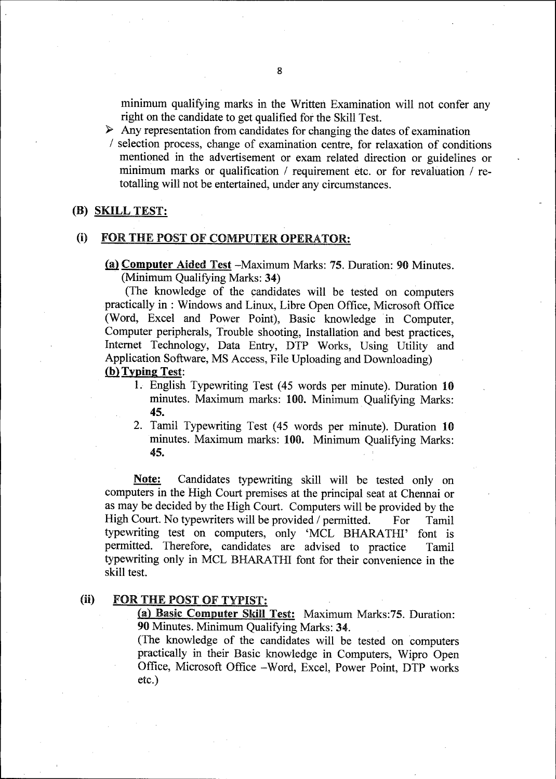minimum qualifying marks in the Written Examination will not confer any right on the candidate to get qualified for the Skill Test.

 $\triangleright$  Any representation from candidates for changing the dates of examination

I selection process, change of examination centre, for relaxation of conditions mentioned in the advertisement or exam related direction or guidelines or minimum marks or qualification  $\ell$  requirement etc. or for revaluation  $\ell$  retotalling will not be entertained, under any circumstances.

#### (B) SKILL TEST:

#### (i) FOR THE POST OF COMPUTER OPERATOR:

(a) Computer Aided Test -Maximum Marks: 75. Duration: 90 Minutes. (Minimum Qualifying Marks: 34)

(The knowledge of the candidates will be tested on computers practically in : Windows and Linux, Libre Open Office, Microsoft Office (Word, Excel and Power Point), Basic knowledge in Computer, Computer peripherals, Trouble shooting, Installation and best practices, Internet Technology, Data Entry, DTP Works, Using Utility and Application Software, MS Access, File Uploading and Downloading) (b) Typing Test:

- 1. English Typewriting Test (45 words per minute). Duration 10 minutes. Maximum marks: 100. Minimum Qualifying Marks: 45.
- 2. Tamil Typewriting Test (45 words per minute). Duration 10 minutes. Maximum marks: 100. Minimum Qualifying Marks: 45.

Note: Candidates typewriting skill will be tested only on computers in the High Court premises at the principal seat at Chennai or as may be decided by the High Court. Computers will be provided by the High Court. No typewriters will be provided / permitted. For Tamil typewriting test on computers, only 'MCL BHARATHI' font is permitted. Therefore, candidates are advised to practice Tamil typewriting only in MCL BHARA THI font for their convenience in the skill test.

### (ii) FOR THE POST OF TYPIST:

(a) Basic Computer Skill Test: Maximum Marks:75. Duration: 90 Minutes. Minimum Qualifying Marks: 34.

(The knowledge of the candidates will be tested on computers practically in their Basic knowledge in Computers, Wipro Open Office, Microsoft Office -Word, Excel, Power Point, DTP works etc.)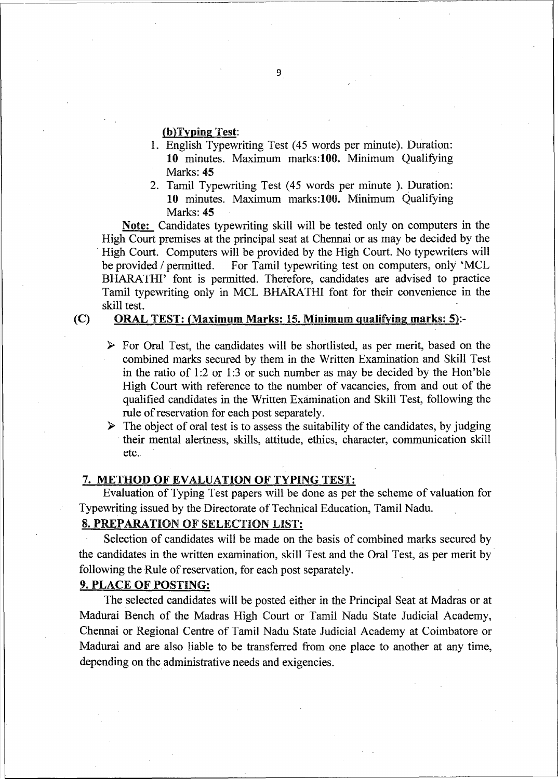#### (b)Typing Test:

- I. English Typewriting Test ( 45 words per minute). Duration: 10 minutes. Maximum marks:lOO. Minimum Qualifying Marks: 45
- 2. Tamil Typewriting Test (45 words per minute ). Duration: 10 minutes. Maximum marks:lOO. Minimum Qualifying Marks: 45

Note: Candidates typewriting skill will be tested only on computers in the High Court premises at the principal seat at Chennai or as may be decided by the High Court. Computers will be provided by the High Court. No typewriters will be provided / permitted. For Tamil typewriting test on computers, only 'MCL BHARATHI' font is permitted. Therefore, candidates are advised to practice Tamil typewriting only in MCL BHARA THI font for their convenience in the skill test.

#### (C) ORAL TEST: (Maximum Marks: 15. Minimum qualifying marks: 5):-

- $\triangleright$  For Oral Test, the candidates will be shortlisted, as per merit, based on the combined marks secured by them in the Written Examination and Skill Test in the ratio of  $1:2$  or  $1:3$  or such number as may be decided by the Hon'ble High Court with reference to the number of vacancies, from and out of the qualified candidates in the Written Examination and Skill Test, following the rule of reservation for each post separately.
- $\triangleright$  The object of oral test is to assess the suitability of the candidates, by judging their mental alertness, skills, attitude, ethics, character, communication skill etc.

#### 7. METHOD OF EVALUATION OF TYPING TEST:

Evaluation of Typing Test papers will be done as pet the scheme of valuation for Typewriting issued by the Directorate of Technical Education, Tamil Nadu.

# 8. PREPARATION OF SELECTION LIST:

Selection of candidates will be made on the basis of combined marks secured by the candidates in the written examination, skill Test and the Oral Test, as per merit by following the Rule of reservation, for each post separately.

#### 9. PLACE OF POSTING:

The selected candidates will be posted either in the Principal Seat at Madras or at Madurai Bench of the Madras High Court or Tamil Nadu State Judicial Academy, Chennai or Regional Centre of Tamil Nadu State Judicial Academy at Coimbatore or Madurai and are also liable to be transferred from one place to another at any time, depending on the administrative needs and exigencies.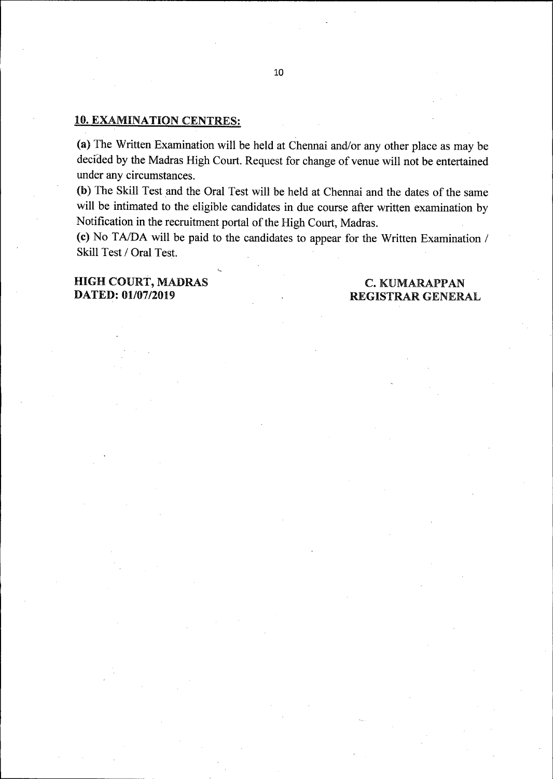#### 10. EXAMINATION CENTRES:

(a) The Written Examination will be held at Chennai and/or any other place as may be decided by the Madras High Court. Request for change of venue will not be entertained under any circumstances.

(b) The Skill Test and the Oral Test will be held at Chennai and the dates of the same will be intimated to the eligible candidates in due course after written examination by Notification in the recruitment portal of the High Court, Madras.

(c) No TA/DA will be paid to the candidates to appear for the Written Examination / Skill Test / Oral Test.

## HIGH COURT, MADRAS DATED: 01/07/2019

### **C. KUMARAPPAN** REGISTRAR GENERAL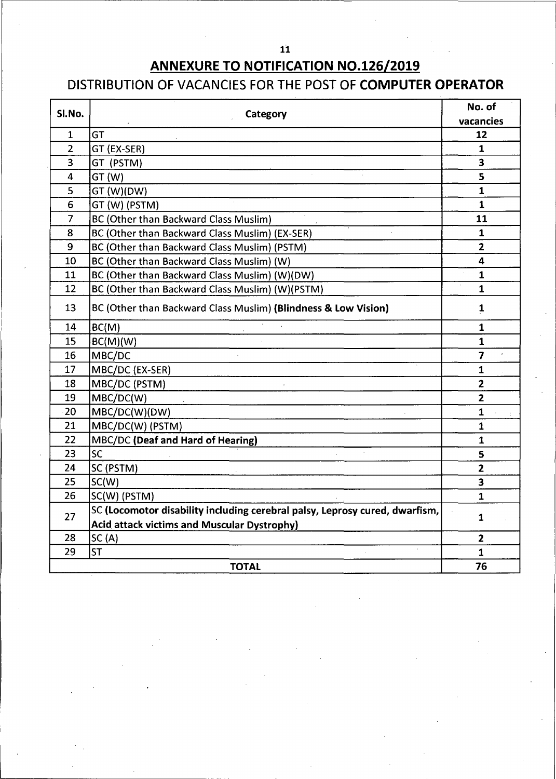# 

# ANNEXURE TO NOTIFICATION NO.126/2019

# DISTRIBUTION OF VACANCIES FOR THE POST OF COMPUTER OPERATOR

| SI.No.         | Category                                                                    | No. of                  |  |
|----------------|-----------------------------------------------------------------------------|-------------------------|--|
|                |                                                                             | vacancies               |  |
| $\mathbf{1}$   | GT                                                                          | 12                      |  |
| $\overline{2}$ | GT (EX-SER)                                                                 | $\mathbf{1}$            |  |
| 3              | GT (PSTM)                                                                   | $\overline{\mathbf{3}}$ |  |
| 4              | GT (W)                                                                      | 5                       |  |
| 5              | GT (W)(DW)                                                                  | $\mathbf{1}$            |  |
| 6              | GT (W) (PSTM)                                                               | $\mathbf{1}$            |  |
| $\overline{7}$ | BC (Other than Backward Class Muslim)                                       | 11                      |  |
| 8              | BC (Other than Backward Class Muslim) (EX-SER)                              | $\mathbf 1$             |  |
| 9              | BC (Other than Backward Class Muslim) (PSTM)                                | $\overline{2}$          |  |
| 10             | BC (Other than Backward Class Muslim) (W)                                   | 4                       |  |
| 11             | BC (Other than Backward Class Muslim) (W)(DW)                               | $\mathbf{1}$            |  |
| 12             | BC (Other than Backward Class Muslim) (W)(PSTM)                             | $\mathbf{1}$            |  |
| 13             | BC (Other than Backward Class Muslim) (Blindness & Low Vision)              | $\mathbf{1}$            |  |
| 14             | BC(M)                                                                       | $\mathbf{1}$            |  |
| 15             | BC(M)(W)                                                                    | $\mathbf{1}$            |  |
| 16             | MBC/DC                                                                      | $\overline{7}$          |  |
| 17             | MBC/DC (EX-SER)                                                             | $\mathbf{1}$            |  |
| 18             | MBC/DC (PSTM)                                                               | $\overline{2}$          |  |
| 19             | MBC/DC(W)                                                                   | $\mathbf{2}$            |  |
| 20             | MBC/DC(W)(DW)                                                               | $\mathbf{1}$            |  |
| 21             | MBC/DC(W) (PSTM)                                                            | $\mathbf{1}$            |  |
| 22             | MBC/DC (Deaf and Hard of Hearing)                                           | $\mathbf{1}$            |  |
| 23             | <b>SC</b>                                                                   | 5                       |  |
| 24             | SC (PSTM)                                                                   | $\overline{2}$          |  |
| 25             | SC(W)                                                                       | 3                       |  |
| 26             | SC(W) (PSTM)                                                                | $\mathbf{1}$            |  |
| 27             | SC (Locomotor disability including cerebral palsy, Leprosy cured, dwarfism, |                         |  |
|                | <b>Acid attack victims and Muscular Dystrophy)</b>                          | 1                       |  |
| 28             | SC(A)                                                                       | $\mathbf{2}$            |  |
| 29             | lst                                                                         | 1                       |  |
|                | <b>TOTAL</b>                                                                | 76                      |  |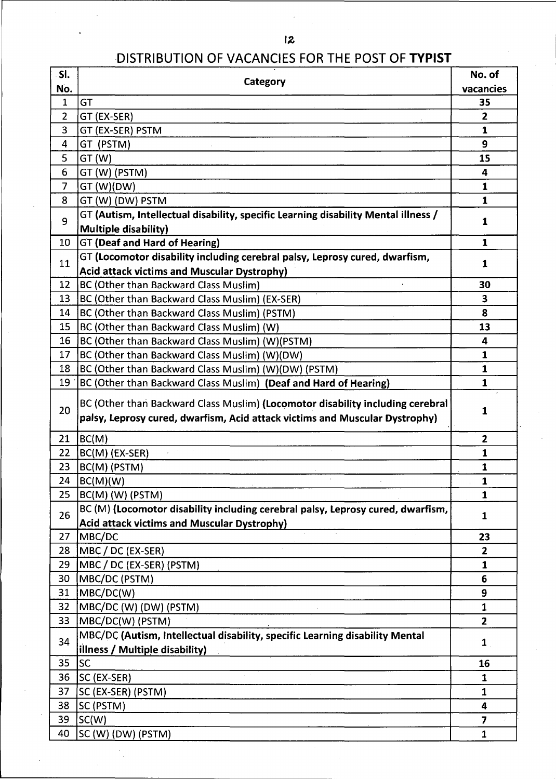# DISTRIBUTION OF VACANCIES FOR THE POST OF TYPIST

| SI.            | Category                                                                                                                                                      | No. of                  |
|----------------|---------------------------------------------------------------------------------------------------------------------------------------------------------------|-------------------------|
| No.            |                                                                                                                                                               | vacancies               |
| $\mathbf{1}$   | GT                                                                                                                                                            | 35                      |
| $\overline{2}$ | GT (EX-SER)                                                                                                                                                   | $\overline{\mathbf{2}}$ |
| 3              | GT (EX-SER) PSTM                                                                                                                                              | 1                       |
| 4              | GT (PSTM)                                                                                                                                                     | 9                       |
| 5              | GT (W)                                                                                                                                                        | 15                      |
| 6              | GT (W) (PSTM)                                                                                                                                                 | 4                       |
| $\overline{7}$ | GT (W)(DW)                                                                                                                                                    | 1                       |
| 8              | GT (W) (DW) PSTM                                                                                                                                              | 1                       |
| 9              | GT (Autism, Intellectual disability, specific Learning disability Mental illness /<br><b>Multiple disability)</b>                                             | 1                       |
| 10             | GT (Deaf and Hard of Hearing)                                                                                                                                 | $\mathbf{1}$            |
|                | GT (Locomotor disability including cerebral palsy, Leprosy cured, dwarfism,                                                                                   |                         |
| 11             | <b>Acid attack victims and Muscular Dystrophy)</b>                                                                                                            | 1                       |
| 12             | BC (Other than Backward Class Muslim)                                                                                                                         | 30                      |
| 13             | BC (Other than Backward Class Muslim) (EX-SER)                                                                                                                | 3                       |
| 14             | BC (Other than Backward Class Muslim) (PSTM)                                                                                                                  | 8                       |
| 15             | BC (Other than Backward Class Muslim) (W)                                                                                                                     | 13                      |
| 16             | BC (Other than Backward Class Muslim) (W)(PSTM)                                                                                                               | 4                       |
| 17             | BC (Other than Backward Class Muslim) (W)(DW)                                                                                                                 | 1                       |
| 18             | BC (Other than Backward Class Muslim) (W)(DW) (PSTM)                                                                                                          | $\mathbf{1}$            |
| 19             | BC (Other than Backward Class Muslim) (Deaf and Hard of Hearing)                                                                                              | 1                       |
| 20             |                                                                                                                                                               |                         |
|                | BC (Other than Backward Class Muslim) (Locomotor disability including cerebral<br>palsy, Leprosy cured, dwarfism, Acid attack victims and Muscular Dystrophy) | 1                       |
| 21             | BC(M)                                                                                                                                                         | $\overline{2}$          |
| 22             | BC(M) (EX-SER)                                                                                                                                                | 1                       |
| 23             | BC(M) (PSTM)                                                                                                                                                  | $\mathbf{1}$            |
| 24             | BC(M)(W)                                                                                                                                                      | $\mathbf{1}$            |
| 25             | BC(M) (W) (PSTM)                                                                                                                                              | $\mathbf{1}$            |
|                | BC (M) (Locomotor disability including cerebral palsy, Leprosy cured, dwarfism,                                                                               |                         |
| 26             | <b>Acid attack victims and Muscular Dystrophy)</b>                                                                                                            | $\mathbf{1}$            |
| 27             | MBC/DC                                                                                                                                                        | 23                      |
| 28             | MBC / DC (EX-SER)                                                                                                                                             | $\overline{2}$          |
| 29             | MBC / DC (EX-SER) (PSTM)                                                                                                                                      | $\mathbf{1}$            |
| 30             | MBC/DC (PSTM)                                                                                                                                                 | 6                       |
| 31             | MBC/DC(W)                                                                                                                                                     | 9                       |
| 32             | MBC/DC (W) (DW) (PSTM)                                                                                                                                        | $\mathbf{1}$            |
| 33             | MBC/DC(W) (PSTM)                                                                                                                                              | $\overline{2}$          |
| 34             | MBC/DC (Autism, Intellectual disability, specific Learning disability Mental                                                                                  | $\mathbf{1}$            |
|                | illness / Multiple disability)                                                                                                                                |                         |
| 35             | lsc                                                                                                                                                           | 16                      |
| 36             | SC (EX-SER)                                                                                                                                                   | $\mathbf{1}$            |
| 37             | SC (EX-SER) (PSTM)                                                                                                                                            | $\mathbf{1}$            |
| 38             | SC (PSTM)                                                                                                                                                     | 4                       |
| 39             | SC(W)                                                                                                                                                         | $\overline{\mathbf{z}}$ |
| 40             | SC (W) (DW) (PSTM)                                                                                                                                            | $\mathbf{1}$            |